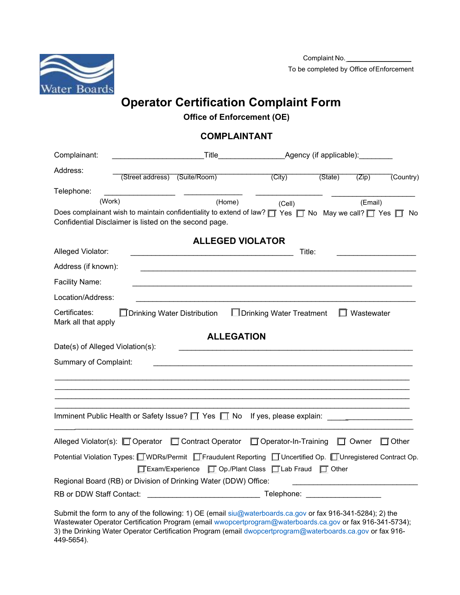

## **Operator Certification Complaint Form**

## **Office of Enforcement (OE)**

## **COMPLAINTANT**

| Complainant:                                                     | _Title_________________________Agency (if applicable):_________ |                                                                                                                                                                                                                                                 |                            |         |                   |              |
|------------------------------------------------------------------|-----------------------------------------------------------------|-------------------------------------------------------------------------------------------------------------------------------------------------------------------------------------------------------------------------------------------------|----------------------------|---------|-------------------|--------------|
| Address:                                                         | (Street address) (Suite/Room)                                   |                                                                                                                                                                                                                                                 | (City)                     | (State) | (Zip)             | (Country)    |
| Telephone:                                                       |                                                                 |                                                                                                                                                                                                                                                 |                            |         |                   |              |
| (Work)                                                           |                                                                 | (Home)                                                                                                                                                                                                                                          | (Cell)                     |         | (Email)           |              |
|                                                                  | Confidential Disclaimer is listed on the second page.           | Does complainant wish to maintain confidentiality to extend of law? $\Box$ Yes $\Box$ No May we call? $\Box$ Yes $\Box$ No                                                                                                                      |                            |         |                   |              |
|                                                                  |                                                                 | <b>ALLEGED VIOLATOR</b>                                                                                                                                                                                                                         |                            |         |                   |              |
| Alleged Violator:                                                |                                                                 |                                                                                                                                                                                                                                                 |                            | Title:  |                   |              |
| Address (if known):                                              |                                                                 |                                                                                                                                                                                                                                                 |                            |         |                   |              |
| Facility Name:                                                   |                                                                 |                                                                                                                                                                                                                                                 |                            |         |                   |              |
| Location/Address:                                                |                                                                 |                                                                                                                                                                                                                                                 |                            |         |                   |              |
| Certificates:<br>Mark all that apply                             | $\Box$ Drinking Water Distribution                              |                                                                                                                                                                                                                                                 | □ Drinking Water Treatment |         | $\Box$ Wastewater |              |
| Date(s) of Alleged Violation(s):<br><b>Summary of Complaint:</b> |                                                                 | <b>ALLEGATION</b>                                                                                                                                                                                                                               |                            |         |                   |              |
|                                                                  |                                                                 | Imminent Public Health or Safety Issue? $\Box$ Yes $\Box$ No If yes, please explain:                                                                                                                                                            |                            |         |                   |              |
|                                                                  |                                                                 | Alleged Violator(s): □ Operator □ Contract Operator □ Operator-In-Training                                                                                                                                                                      |                            |         | $\Box$ Owner      | $\Box$ Other |
|                                                                  |                                                                 | Potential Violation Types: <b>UWDRs/Permit</b> Fraudulent Reporting ■ Uncertified Op. ■ Unregistered Contract Op.<br>□ Exam/Experience □ Op./Plant Class □ Lab Fraud □ Other<br>Regional Board (RB) or Division of Drinking Water (DDW) Office: |                            |         |                   |              |
| RB or DDW Staff Contact:                                         |                                                                 |                                                                                                                                                                                                                                                 |                            |         |                   |              |
|                                                                  |                                                                 | Cubmit the ferm to env of the following: 1) OF (email our waterboards as gay or fay 016 241 5204); 2) the                                                                                                                                       |                            |         |                   |              |

Submit the form to any of the following: 1) OE (email siu@waterboards.ca.gov or fax 916-341-5284); 2) the Wastewater Operator Certification Program (email wwopcertprogram@waterboards.ca.gov or fax 916-341-5734); 3) the Drinking Water Operator Certification Program (email dwopcertprogram@waterboards.ca.gov or fax 916- 449-5654).